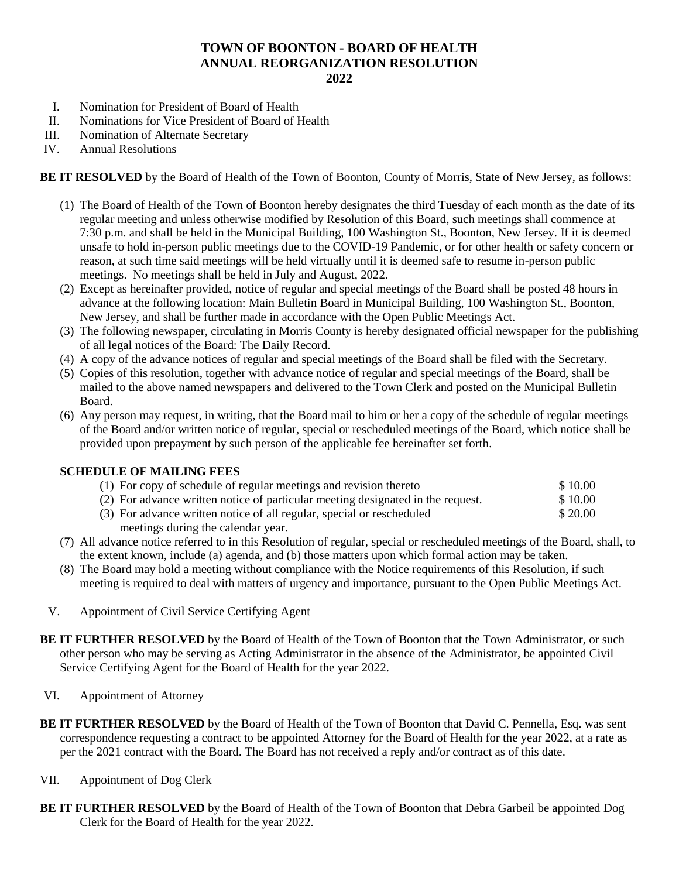## **TOWN OF BOONTON - BOARD OF HEALTH ANNUAL REORGANIZATION RESOLUTION 2022**

- I. Nomination for President of Board of Health
- II. Nominations for Vice President of Board of Health<br>III. Nomination of Alternate Secretary
- III. Nomination of Alternate Secretary<br>IV. Annual Resolutions
- **Annual Resolutions**

**BE IT RESOLVED** by the Board of Health of the Town of Boonton, County of Morris, State of New Jersey, as follows:

- (1) The Board of Health of the Town of Boonton hereby designates the third Tuesday of each month as the date of its regular meeting and unless otherwise modified by Resolution of this Board, such meetings shall commence at 7:30 p.m. and shall be held in the Municipal Building, 100 Washington St., Boonton, New Jersey. If it is deemed unsafe to hold in-person public meetings due to the COVID-19 Pandemic, or for other health or safety concern or reason, at such time said meetings will be held virtually until it is deemed safe to resume in-person public meetings. No meetings shall be held in July and August, 2022.
- (2) Except as hereinafter provided, notice of regular and special meetings of the Board shall be posted 48 hours in advance at the following location: Main Bulletin Board in Municipal Building, 100 Washington St., Boonton, New Jersey, and shall be further made in accordance with the Open Public Meetings Act.
- (3) The following newspaper, circulating in Morris County is hereby designated official newspaper for the publishing of all legal notices of the Board: The Daily Record.
- (4) A copy of the advance notices of regular and special meetings of the Board shall be filed with the Secretary.
- (5) Copies of this resolution, together with advance notice of regular and special meetings of the Board, shall be mailed to the above named newspapers and delivered to the Town Clerk and posted on the Municipal Bulletin Board.
- (6) Any person may request, in writing, that the Board mail to him or her a copy of the schedule of regular meetings of the Board and/or written notice of regular, special or rescheduled meetings of the Board, which notice shall be provided upon prepayment by such person of the applicable fee hereinafter set forth.

## **SCHEDULE OF MAILING FEES**

| (1) For copy of schedule of regular meetings and revision thereto               | \$10.00 |
|---------------------------------------------------------------------------------|---------|
| (2) For advance written notice of particular meeting designated in the request. | \$10.00 |
| (3) For advance written notice of all regular, special or rescheduled           | \$20.00 |
| meetings during the calendar year.                                              |         |

- (7) All advance notice referred to in this Resolution of regular, special or rescheduled meetings of the Board, shall, to the extent known, include (a) agenda, and (b) those matters upon which formal action may be taken.
- (8) The Board may hold a meeting without compliance with the Notice requirements of this Resolution, if such meeting is required to deal with matters of urgency and importance, pursuant to the Open Public Meetings Act.
- V. Appointment of Civil Service Certifying Agent
- **BE IT FURTHER RESOLVED** by the Board of Health of the Town of Boonton that the Town Administrator, or such other person who may be serving as Acting Administrator in the absence of the Administrator, be appointed Civil Service Certifying Agent for the Board of Health for the year 2022.
- VI. Appointment of Attorney
- **BE IT FURTHER RESOLVED** by the Board of Health of the Town of Boonton that David C. Pennella, Esq. was sent correspondence requesting a contract to be appointed Attorney for the Board of Health for the year 2022, at a rate as per the 2021 contract with the Board. The Board has not received a reply and/or contract as of this date.
- VII. Appointment of Dog Clerk
- **BE IT FURTHER RESOLVED** by the Board of Health of the Town of Boonton that Debra Garbeil be appointed Dog Clerk for the Board of Health for the year 2022.